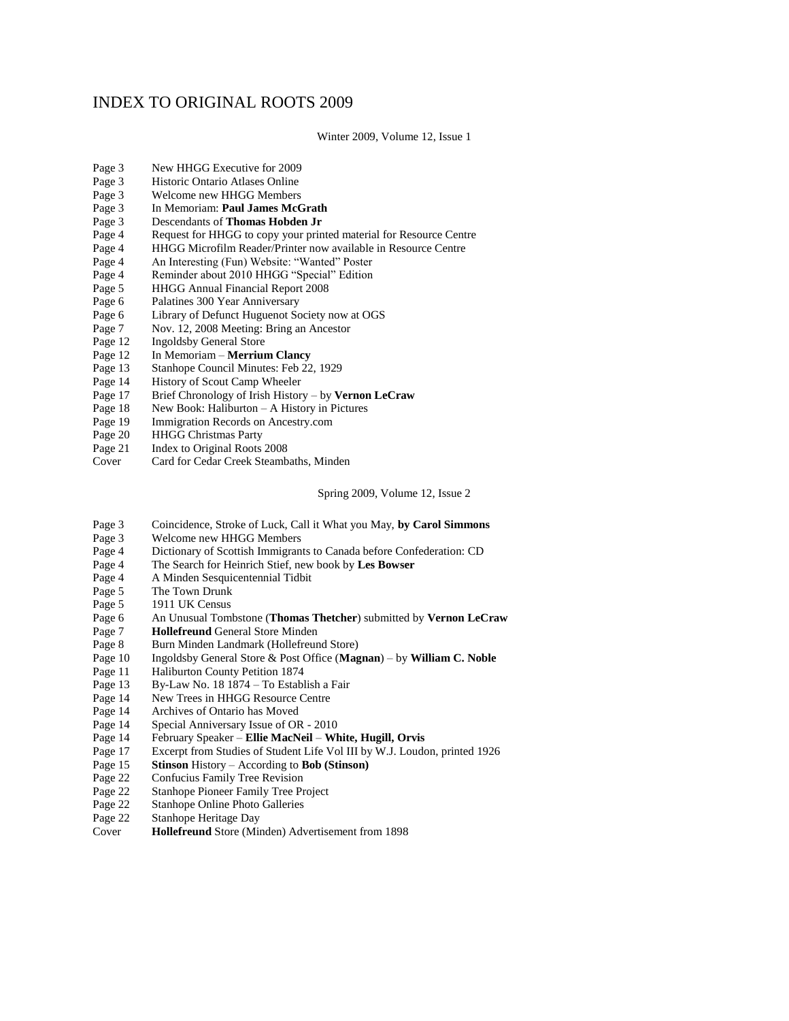## INDEX TO ORIGINAL ROOTS 2009

Winter 2009, Volume 12, Issue 1

- Page 3 New HHGG Executive for 2009
- Page 3 Historic Ontario Atlases Online
- Page 3 Welcome new HHGG Members
- Page 3 In Memoriam: **Paul James McGrath**
- Page 3 Descendants of **Thomas Hobden Jr**
- Page 4 Request for HHGG to copy your printed material for Resource Centre
- Page 4 HHGG Microfilm Reader/Printer now available in Resource Centre
- Page 4 An Interesting (Fun) Website: "Wanted" Poster
- Page 4 Reminder about 2010 HHGG "Special" Edition<br>Page 5 HHGG Annual Financial Report 2008
- Page 5 HHGG Annual Financial Report 2008<br>Page 6 Palatines 300 Year Anniversary
- Palatines 300 Year Anniversary
- Page 6 Library of Defunct Huguenot Society now at OGS
- Page 7 Nov. 12, 2008 Meeting: Bring an Ancestor
- Page 12 Ingoldsby General Store<br>Page 12 In Memoriam **Merriur**
- Page 12 In Memoriam **Merrium Clancy**<br>Page 13 Stanhope Council Minutes: Feb 22
- Page 13 Stanhope Council Minutes: Feb 22, 1929<br>Page 14 History of Scout Camp Wheeler
- History of Scout Camp Wheeler
- Page 17 Brief Chronology of Irish History by **Vernon LeCraw**
- Page 18 New Book: Haliburton A History in Pictures
- Page 19 Immigration Records on Ancestry.com
- Page 20 HHGG Christmas Party
- Page 21 Index to Original Roots 2008
- Cover Card for Cedar Creek Steambaths, Minden

Spring 2009, Volume 12, Issue 2

- Page 3 Coincidence, Stroke of Luck, Call it What you May, **by Carol Simmons**
- Page 3 Welcome new HHGG Members
- Page 4 Dictionary of Scottish Immigrants to Canada before Confederation: CD
- Page 4 The Search for Heinrich Stief, new book by **Les Bowser**
- Page 4 A Minden Sesquicentennial Tidbit
- Page 5 The Town Drunk
- Page 5 1911 UK Census
- Page 6 An Unusual Tombstone (**Thomas Thetcher**) submitted by **Vernon LeCraw**
- 
- Page 7 **Hollefreund** General Store Minden<br>Page 8 Burn Minden Landmark (Hollefreur Burn Minden Landmark (Hollefreund Store)
- Page 10 Ingoldsby General Store & Post Office (**Magnan**) by **William C. Noble**
- Page 11 Haliburton County Petition 1874<br>Page 13 By-Law No. 18 1874 To Establ
- By-Law No. 18 1874 To Establish a Fair
- Page 14 New Trees in HHGG Resource Centre
- Page 14 Archives of Ontario has Moved
- Page 14 Special Anniversary Issue of OR 2010
- Page 14 February Speaker **Ellie MacNeil White, Hugill, Orvis**
- Page 17 Excerpt from Studies of Student Life Vol III by W.J. Loudon, printed 1926<br>Page 15 **Stinson** History According to **Bob (Stinson)**
- Page 15 **Stinson** History According to **Bob (Stinson)**
- Page 22 Confucius Family Tree Revision<br>Page 22 Stanhope Pioneer Family Tree Pr
- Stanhope Pioneer Family Tree Project
- Page 22 Stanhope Online Photo Galleries
- Page 22 Stanhope Heritage Day
- Cover **Hollefreund** Store (Minden) Advertisement from 1898